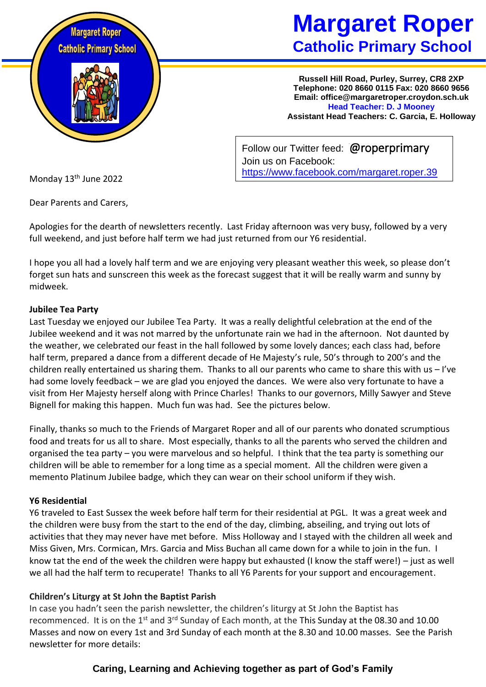

# **Margaret Roper Catholic Primary School**

**Russell Hill Road, Purley, Surrey, CR8 2XP Telephone: 020 8660 0115 Fax: 020 8660 9656 Email: office@margaretroper.croydon.sch.uk Head Teacher: D. J Mooney Assistant Head Teachers: C. Garcia, E. Holloway**

Follow our Twitter feed: @roperprimary Join us on Facebook: <https://www.facebook.com/margaret.roper.39>

Monday 13th June 2022

Dear Parents and Carers,

Apologies for the dearth of newsletters recently. Last Friday afternoon was very busy, followed by a very full weekend, and just before half term we had just returned from our Y6 residential.

I hope you all had a lovely half term and we are enjoying very pleasant weather this week, so please don't forget sun hats and sunscreen this week as the forecast suggest that it will be really warm and sunny by midweek.

### **Jubilee Tea Party**

Last Tuesday we enjoyed our Jubilee Tea Party. It was a really delightful celebration at the end of the Jubilee weekend and it was not marred by the unfortunate rain we had in the afternoon. Not daunted by the weather, we celebrated our feast in the hall followed by some lovely dances; each class had, before half term, prepared a dance from a different decade of He Majesty's rule, 50's through to 200's and the children really entertained us sharing them. Thanks to all our parents who came to share this with us – I've had some lovely feedback – we are glad you enjoyed the dances. We were also very fortunate to have a visit from Her Majesty herself along with Prince Charles! Thanks to our governors, Milly Sawyer and Steve Bignell for making this happen. Much fun was had. See the pictures below.

Finally, thanks so much to the Friends of Margaret Roper and all of our parents who donated scrumptious food and treats for us all to share. Most especially, thanks to all the parents who served the children and organised the tea party – you were marvelous and so helpful. I think that the tea party is something our children will be able to remember for a long time as a special moment. All the children were given a memento Platinum Jubilee badge, which they can wear on their school uniform if they wish.

#### **Y6 Residential**

Y6 traveled to East Sussex the week before half term for their residential at PGL. It was a great week and the children were busy from the start to the end of the day, climbing, abseiling, and trying out lots of activities that they may never have met before. Miss Holloway and I stayed with the children all week and Miss Given, Mrs. Cormican, Mrs. Garcia and Miss Buchan all came down for a while to join in the fun. I know tat the end of the week the children were happy but exhausted (I know the staff were!) – just as well we all had the half term to recuperate! Thanks to all Y6 Parents for your support and encouragement.

# **Children's Liturgy at St John the Baptist Parish**

In case you hadn't seen the parish newsletter, the children's liturgy at St John the Baptist has recommenced. It is on the 1<sup>st</sup> and 3<sup>rd</sup> Sunday of Each month, at the This Sunday at the 08.30 and 10.00 Masses and now on every 1st and 3rd Sunday of each month at the 8.30 and 10.00 masses. See the Parish newsletter for more details:

# **Caring, Learning and Achieving together as part of God's Family**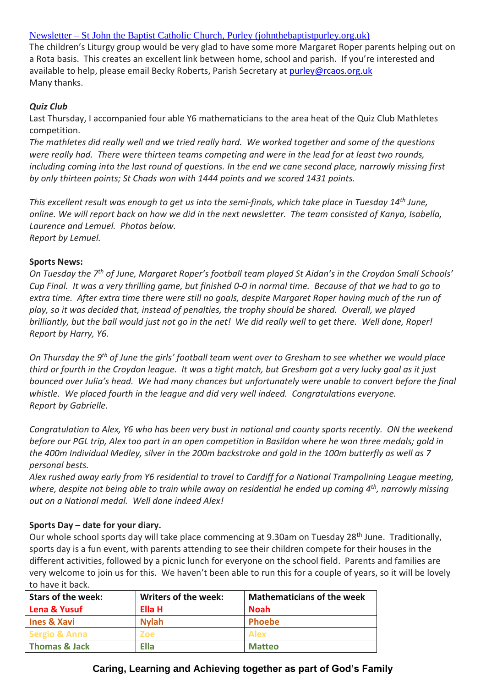#### Newsletter – [St John the Baptist Catholic Church, Purley \(johnthebaptistpurley.org.uk\)](https://www.johnthebaptistpurley.org.uk/newsletter/)

The children's Liturgy group would be very glad to have some more Margaret Roper parents helping out on a Rota basis. This creates an excellent link between home, school and parish. If you're interested and available to help, please email Becky Roberts, Parish Secretary at [purley@rcaos.org.uk](mailto:purley@rcaos.org.uk) Many thanks.

#### *Quiz Club*

Last Thursday, I accompanied four able Y6 mathematicians to the area heat of the Quiz Club Mathletes competition.

*The mathletes did really well and we tried really hard. We worked together and some of the questions were really had. There were thirteen teams competing and were in the lead for at least two rounds, including coming into the last round of questions. In the end we cane second place, narrowly missing first by only thirteen points; St Chads won with 1444 points and we scored 1431 points.* 

*This excellent result was enough to get us into the semi-finals, which take place in Tuesday 14th June, online. We will report back on how we did in the next newsletter. The team consisted of Kanya, Isabella, Laurence and Lemuel. Photos below. Report by Lemuel.* 

#### **Sports News:**

*On Tuesday the 7th of June, Margaret Roper's football team played St Aidan's in the Croydon Small Schools' Cup Final. It was a very thrilling game, but finished 0-0 in normal time. Because of that we had to go to extra time. After extra time there were still no goals, despite Margaret Roper having much of the run of play, so it was decided that, instead of penalties, the trophy should be shared. Overall, we played brilliantly, but the ball would just not go in the net! We did really well to get there. Well done, Roper! Report by Harry, Y6.*

*On Thursday the 9th of June the girls' football team went over to Gresham to see whether we would place third or fourth in the Croydon league. It was a tight match, but Gresham got a very lucky goal as it just bounced over Julia's head. We had many chances but unfortunately were unable to convert before the final whistle. We placed fourth in the league and did very well indeed. Congratulations everyone. Report by Gabrielle.* 

*Congratulation to Alex, Y6 who has been very bust in national and county sports recently. ON the weekend before our PGL trip, Alex too part in an open competition in Basildon where he won three medals; gold in the 400m Individual Medley, silver in the 200m backstroke and gold in the 100m butterfly as well as 7 personal bests.* 

*Alex rushed away early from Y6 residential to travel to Cardiff for a National Trampolining League meeting, where, despite not being able to train while away on residential he ended up coming 4th, narrowly missing out on a National medal. Well done indeed Alex!*

#### **Sports Day – date for your diary.**

Our whole school sports day will take place commencing at 9.30am on Tuesday 28<sup>th</sup> June. Traditionally, sports day is a fun event, with parents attending to see their children compete for their houses in the different activities, followed by a picnic lunch for everyone on the school field. Parents and families are very welcome to join us for this. We haven't been able to run this for a couple of years, so it will be lovely to have it back.

| Stars of the week:       | <b>Writers of the week:</b> | <b>Mathematicians of the week</b> |
|--------------------------|-----------------------------|-----------------------------------|
| Lena & Yusuf             | Ella H                      | <b>Noah</b>                       |
| <b>Ines &amp; Xavi</b>   | <b>Nylah</b>                | <b>Phoebe</b>                     |
| <b>Sergio &amp; Anna</b> | <b>Zoe</b>                  | <b>Alex</b>                       |
| <b>Thomas &amp; Jack</b> | <b>Ella</b>                 | <b>Matteo</b>                     |

# **Caring, Learning and Achieving together as part of God's Family**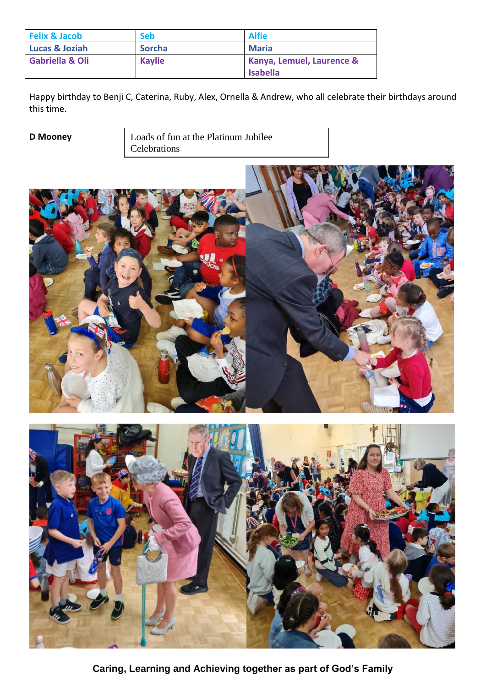| <b>Felix &amp; Jacob</b>   | <b>Seb</b>    | <b>Alfie</b>                                            |
|----------------------------|---------------|---------------------------------------------------------|
| <b>Lucas &amp; Joziah</b>  | <b>Sorcha</b> | <b>Maria</b>                                            |
| <b>Gabriella &amp; Oli</b> | <b>Kaylie</b> | <b>Kanya, Lemuel, Laurence &amp;</b><br><b>Isabella</b> |

Happy birthday to Benji C, Caterina, Ruby, Alex, Ornella & Andrew, who all celebrate their birthdays around this time.

**D Mooney Loads of fun at the Platinum Jubilee** Celebrations





**Caring, Learning and Achieving together as part of God's Family**